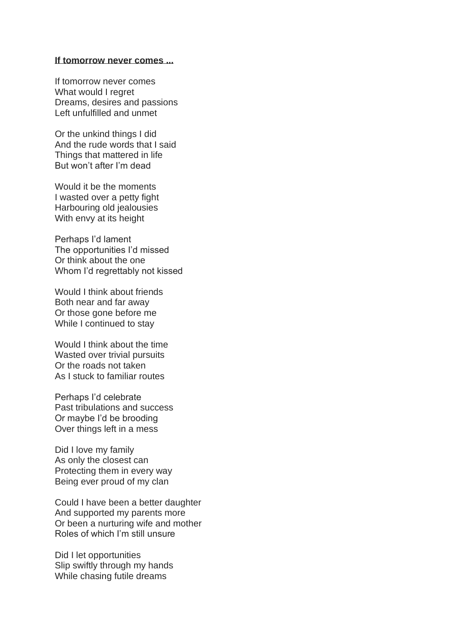## **If tomorrow never comes ...**

If tomorrow never comes What would I regret Dreams, desires and passions Left unfulfilled and unmet

Or the unkind things I did And the rude words that I said Things that mattered in life But won't after I'm dead

Would it be the moments I wasted over a petty fight Harbouring old jealousies With envy at its height

Perhaps I'd lament The opportunities I'd missed Or think about the one Whom I'd regrettably not kissed

Would I think about friends Both near and far away Or those gone before me While I continued to stay

Would I think about the time Wasted over trivial pursuits Or the roads not taken As I stuck to familiar routes

Perhaps I'd celebrate Past tribulations and success Or maybe I'd be brooding Over things left in a mess

Did I love my family As only the closest can Protecting them in every way Being ever proud of my clan

Could I have been a better daughter And supported my parents more Or been a nurturing wife and mother Roles of which I'm still unsure

Did I let opportunities Slip swiftly through my hands While chasing futile dreams